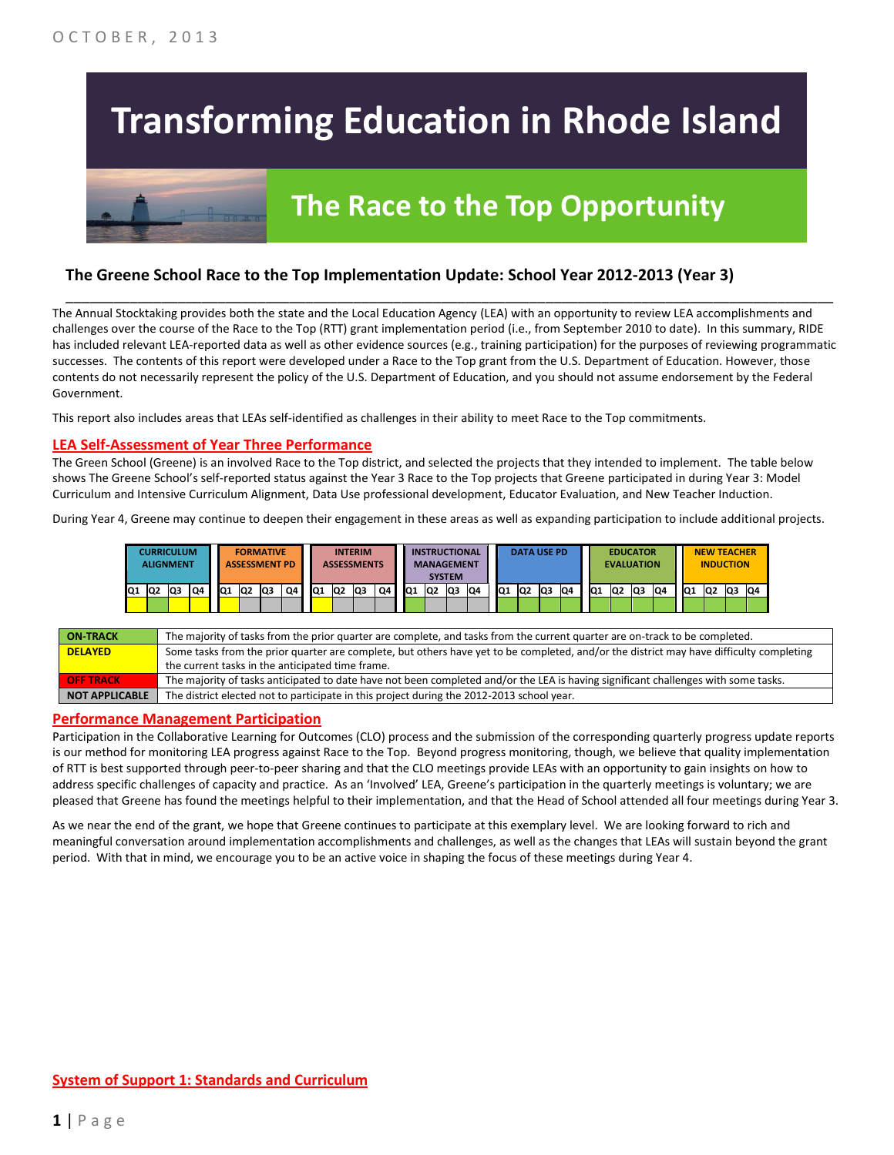# **Transforming Education in Rhode Island**

## **The Race to the Top Opportunity**

### **The Greene School Race to the Top Implementation Update: School Year 2012-2013 (Year 3)**

The Annual Stocktaking provides both the state and the Local Education Agency (LEA) with an opportunity to review LEA accomplishments and challenges over the course of the Race to the Top (RTT) grant implementation period (i.e., from September 2010 to date). In this summary, RIDE has included relevant LEA-reported data as well as other evidence sources (e.g., training participation) for the purposes of reviewing programmatic successes. The contents of this report were developed under a Race to the Top grant from the U.S. Department of Education. However, those contents do not necessarily represent the policy of the U.S. Department of Education, and you should not assume endorsement by the Federal Government.

\_\_\_\_\_\_\_\_\_\_\_\_\_\_\_\_\_\_\_\_\_\_\_\_\_\_\_\_\_\_\_\_\_\_\_\_\_\_\_\_\_\_\_\_\_\_\_\_\_\_\_\_\_\_\_\_\_\_\_\_\_\_\_\_\_\_\_\_\_\_\_\_\_\_\_\_\_\_\_\_\_\_\_\_\_\_\_\_\_\_\_\_\_\_\_\_

This report also includes areas that LEAs self-identified as challenges in their ability to meet Race to the Top commitments.

#### **LEA Self-Assessment of Year Three Performance**

The Green School (Greene) is an involved Race to the Top district, and selected the projects that they intended to implement. The table below shows The Greene School's self-reported status against the Year 3 Race to the Top projects that Greene participated in during Year 3: Model Curriculum and Intensive Curriculum Alignment, Data Use professional development, Educator Evaluation, and New Teacher Induction.

During Year 4, Greene may continue to deepen their engagement in these areas as well as expanding participation to include additional projects.

|     | <b>CURRICULUM</b><br><b>ALIGNMENT</b> |     |    | <b>FORMATIVE</b><br><b>ASSESSMENT PD</b> |  |    |                | <b>INTERIM</b><br><b>ASSESSMENTS</b> |    |     | <b>INSTRUCTIONAL</b><br><b>MANAGEMENT</b><br><b>SYSTEM</b> |     |    | <b>DATA USE PD</b> |                |     | <b>EDUCATOR</b><br><b>EVALUATION</b> |    |                |                |     | <b>NEW TEACHER</b><br><b>INDUCTION</b> |                 |                |     |                 |    |    |    |  |
|-----|---------------------------------------|-----|----|------------------------------------------|--|----|----------------|--------------------------------------|----|-----|------------------------------------------------------------|-----|----|--------------------|----------------|-----|--------------------------------------|----|----------------|----------------|-----|----------------------------------------|-----------------|----------------|-----|-----------------|----|----|----|--|
| IQ1 |                                       | IQ2 | Q3 | Q4                                       |  | Q1 | Q <sub>2</sub> | lQ3                                  | Q4 | IQ1 | Q <sub>2</sub>                                             | lQ3 | Q4 | IQ1                | Q <sub>2</sub> | lQ3 | Q4                                   | Q1 | Q <sub>2</sub> | Q <sub>3</sub> | IQ4 | IQ <sub>1</sub>                        | IQ <sub>2</sub> | Q <sub>3</sub> | IQ4 | IQ <sub>1</sub> | Q2 | Q3 | Q4 |  |

| <b>ON TRACK</b>       | The majority of tasks from the prior quarter are complete, and tasks from the current quarter are on-track to be completed.             |
|-----------------------|-----------------------------------------------------------------------------------------------------------------------------------------|
| <b>DELAYED</b>        | Some tasks from the prior quarter are complete, but others have yet to be completed, and/or the district may have difficulty completing |
|                       | the current tasks in the anticipated time frame.                                                                                        |
| <b>OFF TRACK</b>      | The majority of tasks anticipated to date have not been completed and/or the LEA is having significant challenges with some tasks.      |
| <b>NOT APPLICABLE</b> | The district elected not to participate in this project during the 2012-2013 school year.                                               |

#### **Performance Management Participation**

Participation in the Collaborative Learning for Outcomes (CLO) process and the submission of the corresponding quarterly progress update reports is our method for monitoring LEA progress against Race to the Top. Beyond progress monitoring, though, we believe that quality implementation of RTT is best supported through peer-to-peer sharing and that the CLO meetings provide LEAs with an opportunity to gain insights on how to address specific challenges of capacity and practice. As an 'Involved' LEA, Greene's participation in the quarterly meetings is voluntary; we are pleased that Greene has found the meetings helpful to their implementation, and that the Head of School attended all four meetings during Year 3.

As we near the end of the grant, we hope that Greene continues to participate at this exemplary level. We are looking forward to rich and meaningful conversation around implementation accomplishments and challenges, as well as the changes that LEAs will sustain beyond the grant period. With that in mind, we encourage you to be an active voice in shaping the focus of these meetings during Year 4.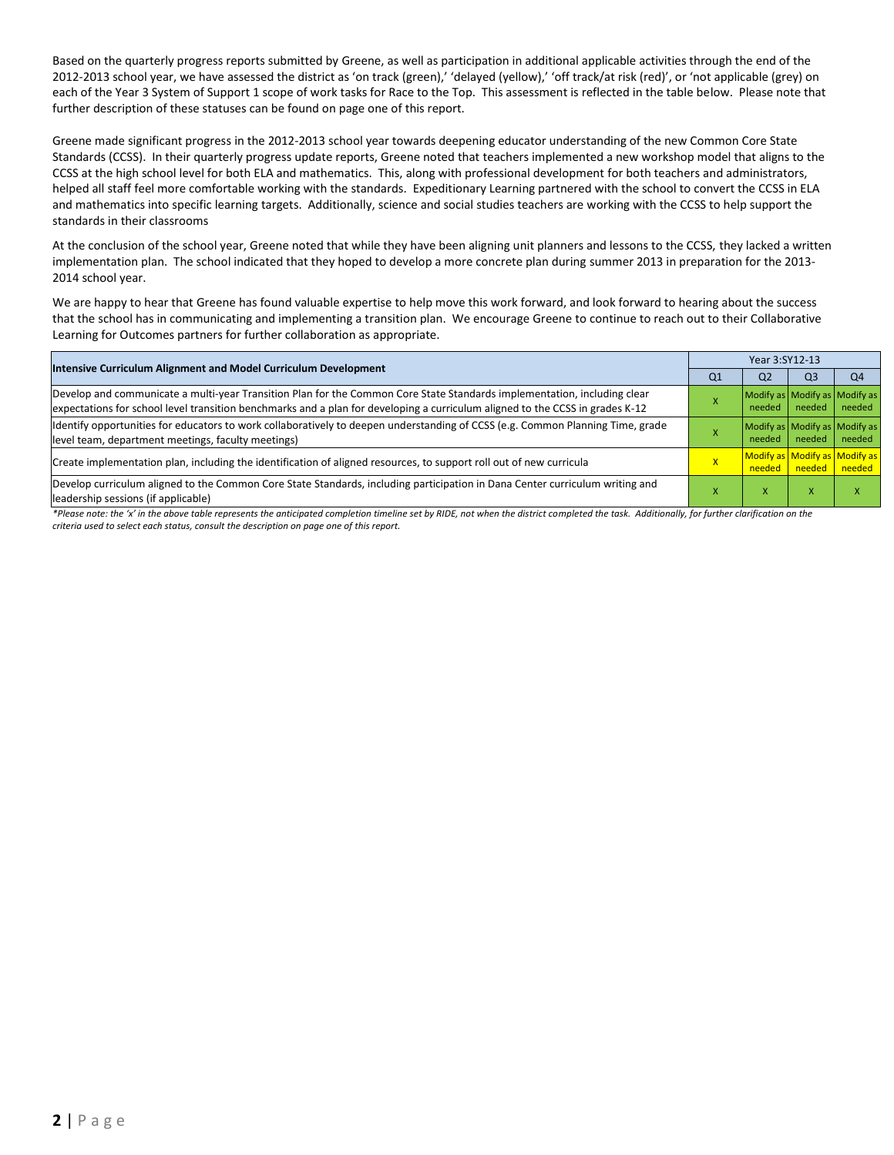Based on the quarterly progress reports submitted by Greene, as well as participation in additional applicable activities through the end of the 2012-2013 school year, we have assessed the district as 'on track (green),' 'delayed (yellow),' 'off track/at risk (red)', or 'not applicable (grey) on each of the Year 3 System of Support 1 scope of work tasks for Race to the Top. This assessment is reflected in the table below. Please note that further description of these statuses can be found on page one of this report.

Greene made significant progress in the 2012-2013 school year towards deepening educator understanding of the new Common Core State Standards (CCSS). In their quarterly progress update reports, Greene noted that teachers implemented a new workshop model that aligns to the CCSS at the high school level for both ELA and mathematics. This, along with professional development for both teachers and administrators, helped all staff feel more comfortable working with the standards. Expeditionary Learning partnered with the school to convert the CCSS in ELA and mathematics into specific learning targets. Additionally, science and social studies teachers are working with the CCSS to help support the standards in their classrooms

At the conclusion of the school year, Greene noted that while they have been aligning unit planners and lessons to the CCSS, they lacked a written implementation plan. The school indicated that they hoped to develop a more concrete plan during summer 2013 in preparation for the 2013- 2014 school year.

We are happy to hear that Greene has found valuable expertise to help move this work forward, and look forward to hearing about the success that the school has in communicating and implementing a transition plan. We encourage Greene to continue to reach out to their Collaborative Learning for Outcomes partners for further collaboration as appropriate.

| Intensive Curriculum Alignment and Model Curriculum Development                                                                                                                                                                                           |                | Year 3:SY12-13                          |                      |                                         |  |  |  |
|-----------------------------------------------------------------------------------------------------------------------------------------------------------------------------------------------------------------------------------------------------------|----------------|-----------------------------------------|----------------------|-----------------------------------------|--|--|--|
|                                                                                                                                                                                                                                                           | Q <sub>1</sub> | Q <sub>2</sub>                          | Q <sub>3</sub>       | Q <sub>4</sub>                          |  |  |  |
| Develop and communicate a multi-year Transition Plan for the Common Core State Standards implementation, including clear<br>expectations for school level transition benchmarks and a plan for developing a curriculum aligned to the CCSS in grades K-12 |                | needed                                  | needed               | Modify as Modify as Modify as<br>needed |  |  |  |
| Identify opportunities for educators to work collaboratively to deepen understanding of CCSS (e.g. Common Planning Time, grade<br>level team, department meetings, faculty meetings)                                                                      |                | Modify as Modify as Modify as<br>needed | needed               | needed                                  |  |  |  |
| Create implementation plan, including the identification of aligned resources, to support roll out of new curricula                                                                                                                                       | $\mathsf{X}$   |                                         | needed needed needed | Modify as Modify as Modify as           |  |  |  |
| Develop curriculum aligned to the Common Core State Standards, including participation in Dana Center curriculum writing and<br>leadership sessions (if applicable)                                                                                       |                | x                                       | X                    | x                                       |  |  |  |

*\*Please note: the 'x' in the above table represents the anticipated completion timeline set by RIDE, not when the district completed the task. Additionally, for further clarification on the criteria used to select each status, consult the description on page one of this report.*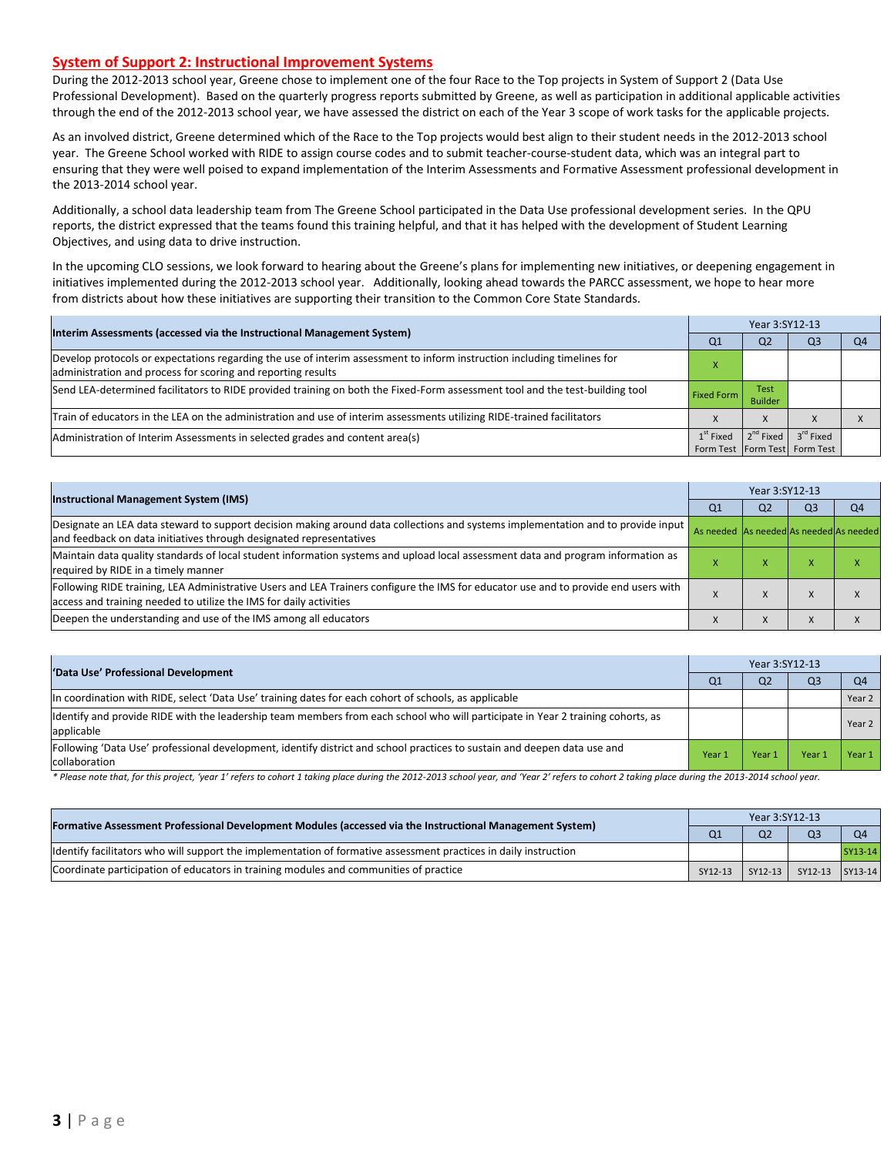#### **System of Support 2: Instructional Improvement Systems**

During the 2012-2013 school year, Greene chose to implement one of the four Race to the Top projects in System of Support 2 (Data Use Professional Development). Based on the quarterly progress reports submitted by Greene, as well as participation in additional applicable activities through the end of the 2012-2013 school year, we have assessed the district on each of the Year 3 scope of work tasks for the applicable projects.

As an involved district, Greene determined which of the Race to the Top projects would best align to their student needs in the 2012-2013 school year. The Greene School worked with RIDE to assign course codes and to submit teacher-course-student data, which was an integral part to ensuring that they were well poised to expand implementation of the Interim Assessments and Formative Assessment professional development in the 2013-2014 school year.

Additionally, a school data leadership team from The Greene School participated in the Data Use professional development series. In the QPU reports, the district expressed that the teams found this training helpful, and that it has helped with the development of Student Learning Objectives, and using data to drive instruction.

In the upcoming CLO sessions, we look forward to hearing about the Greene's plans for implementing new initiatives, or deepening engagement in initiatives implemented during the 2012-2013 school year. Additionally, looking ahead towards the PARCC assessment, we hope to hear more from districts about how these initiatives are supporting their transition to the Common Core State Standards.

| Interim Assessments (accessed via the Instructional Management System)                                                                                                                  | Q1                | Q <sub>2</sub>                | Q <sub>3</sub>                                                     | O <sub>4</sub> |
|-----------------------------------------------------------------------------------------------------------------------------------------------------------------------------------------|-------------------|-------------------------------|--------------------------------------------------------------------|----------------|
| Develop protocols or expectations regarding the use of interim assessment to inform instruction including timelines for<br>administration and process for scoring and reporting results |                   |                               |                                                                    |                |
| Send LEA-determined facilitators to RIDE provided training on both the Fixed-Form assessment tool and the test-building tool                                                            | <b>Fixed Form</b> | <b>Test</b><br><b>Builder</b> |                                                                    |                |
| Train of educators in the LEA on the administration and use of interim assessments utilizing RIDE-trained facilitators                                                                  |                   | X                             |                                                                    |                |
| Administration of Interim Assessments in selected grades and content area(s)                                                                                                            | $1st$ Fixed       |                               | $2^{nd}$ Fixed $3^{rd}$ Fixed<br>Form Test   Form Test   Form Test |                |

|                                                                                                                                                                                                           | Year 3:SY12-13                          |                |                |                |  |  |
|-----------------------------------------------------------------------------------------------------------------------------------------------------------------------------------------------------------|-----------------------------------------|----------------|----------------|----------------|--|--|
| <b>Instructional Management System (IMS)</b>                                                                                                                                                              | Q1                                      | Q <sub>2</sub> | Q <sub>3</sub> | Q <sub>4</sub> |  |  |
| Designate an LEA data steward to support decision making around data collections and systems implementation and to provide input<br>and feedback on data initiatives through designated representatives   | As needed As needed As needed As needed |                |                |                |  |  |
| Maintain data quality standards of local student information systems and upload local assessment data and program information as<br>required by RIDE in a timely manner                                   |                                         | х.             | ж              | x              |  |  |
| Following RIDE training, LEA Administrative Users and LEA Trainers configure the IMS for educator use and to provide end users with<br>access and training needed to utilize the IMS for daily activities |                                         | $\lambda$      | $\lambda$      | $\lambda$      |  |  |
| Deepen the understanding and use of the IMS among all educators                                                                                                                                           |                                         | X              | $\Lambda$      |                |  |  |

| 'Data Use' Professional Development                                                                                                           |                | Year 3:SY12-13 |                |                |  |  |
|-----------------------------------------------------------------------------------------------------------------------------------------------|----------------|----------------|----------------|----------------|--|--|
|                                                                                                                                               | Q <sub>1</sub> | Q <sub>2</sub> | Q <sub>3</sub> | Q <sub>4</sub> |  |  |
| In coordination with RIDE, select 'Data Use' training dates for each cohort of schools, as applicable                                         |                |                |                | Year 2         |  |  |
| Identify and provide RIDE with the leadership team members from each school who will participate in Year 2 training cohorts, as<br>applicable |                |                |                | Year 2         |  |  |
| Following 'Data Use' professional development, identify district and school practices to sustain and deepen data use and<br>collaboration     | Year 1         | Year 1         | Year           | Year 1         |  |  |

\* Please note that, for this project, 'year 1' refers to cohort 1 taking place during the 2012-2013 school year, and 'Year 2' refers to cohort 2 taking place during the 2013-2014 school year.

| [Formative Assessment Professional Development Modules (accessed via the Instructional Management System)        |                | Year 3:SY12-13 |                 |                |  |  |
|------------------------------------------------------------------------------------------------------------------|----------------|----------------|-----------------|----------------|--|--|
|                                                                                                                  | Q <sub>1</sub> | Q <sub>2</sub> | Q <sub>3</sub>  | O <sub>4</sub> |  |  |
| ldentify facilitators who will support the implementation of formative assessment practices in daily instruction |                |                |                 | $SY13-14$      |  |  |
| Coordinate participation of educators in training modules and communities of practice                            | SY12-13        | SY12-13        | SY12-13 SY13-14 |                |  |  |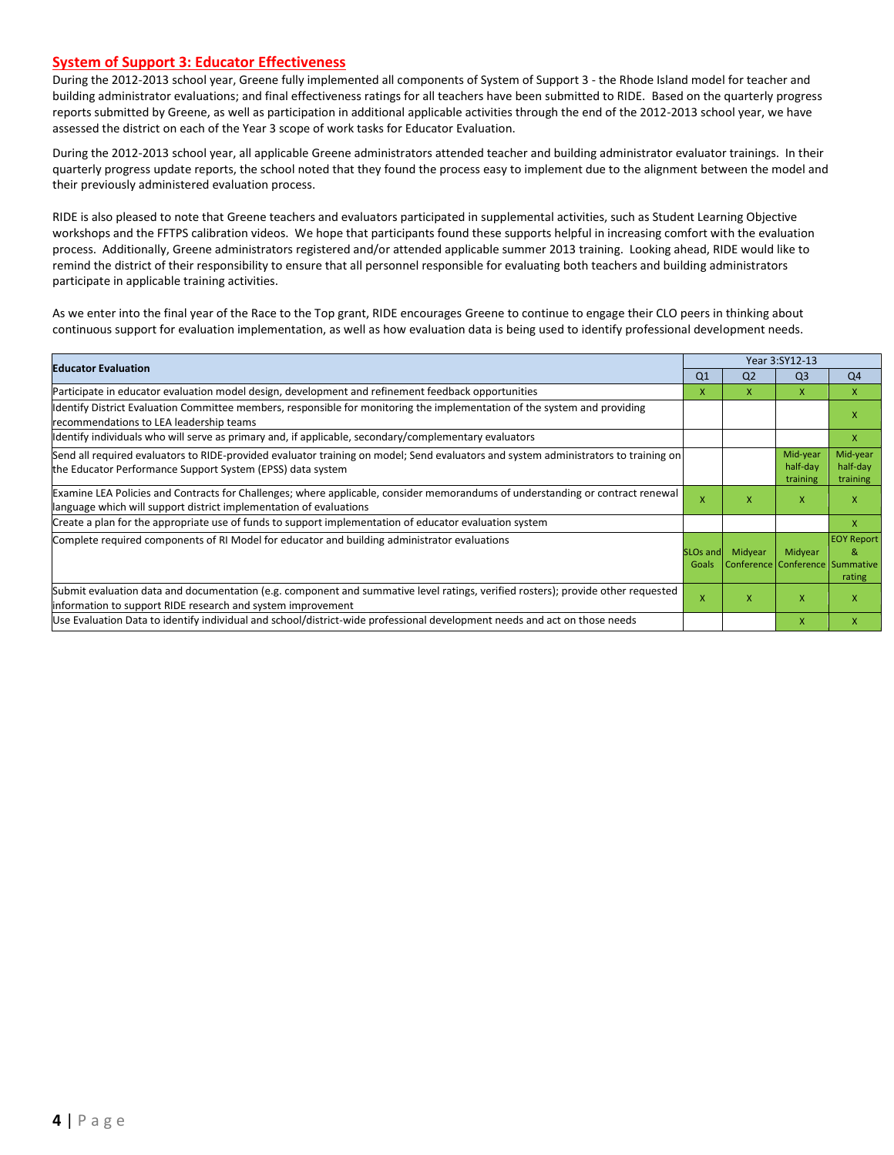#### **System of Support 3: Educator Effectiveness**

During the 2012-2013 school year, Greene fully implemented all components of System of Support 3 - the Rhode Island model for teacher and building administrator evaluations; and final effectiveness ratings for all teachers have been submitted to RIDE. Based on the quarterly progress reports submitted by Greene, as well as participation in additional applicable activities through the end of the 2012-2013 school year, we have assessed the district on each of the Year 3 scope of work tasks for Educator Evaluation.

During the 2012-2013 school year, all applicable Greene administrators attended teacher and building administrator evaluator trainings. In their quarterly progress update reports, the school noted that they found the process easy to implement due to the alignment between the model and their previously administered evaluation process.

RIDE is also pleased to note that Greene teachers and evaluators participated in supplemental activities, such as Student Learning Objective workshops and the FFTPS calibration videos. We hope that participants found these supports helpful in increasing comfort with the evaluation process. Additionally, Greene administrators registered and/or attended applicable summer 2013 training. Looking ahead, RIDE would like to remind the district of their responsibility to ensure that all personnel responsible for evaluating both teachers and building administrators participate in applicable training activities.

As we enter into the final year of the Race to the Top grant, RIDE encourages Greene to continue to engage their CLO peers in thinking about continuous support for evaluation implementation, as well as how evaluation data is being used to identify professional development needs.

| <b>Educator Evaluation</b>                                                                                                                                                                           |                          |                | Year 3:SY12-13                             |                                  |
|------------------------------------------------------------------------------------------------------------------------------------------------------------------------------------------------------|--------------------------|----------------|--------------------------------------------|----------------------------------|
|                                                                                                                                                                                                      | Q <sub>1</sub>           | Q <sub>2</sub> | Q <sub>3</sub>                             | Q <sub>4</sub>                   |
| Participate in educator evaluation model design, development and refinement feedback opportunities                                                                                                   | X.                       | x              | X                                          | X                                |
| Identify District Evaluation Committee members, responsible for monitoring the implementation of the system and providing<br>recommendations to LEA leadership teams                                 |                          |                |                                            | x                                |
| ldentify individuals who will serve as primary and, if applicable, secondary/complementary evaluators                                                                                                |                          |                |                                            | X                                |
| Send all required evaluators to RIDE-provided evaluator training on model; Send evaluators and system administrators to training on<br>the Educator Performance Support System (EPSS) data system    |                          |                | Mid-year<br>half-day<br>training           | Mid-year<br>half-day<br>training |
| Examine LEA Policies and Contracts for Challenges; where applicable, consider memorandums of understanding or contract renewal<br>language which will support district implementation of evaluations | X                        | X              | X                                          | X                                |
| Create a plan for the appropriate use of funds to support implementation of educator evaluation system                                                                                               |                          |                |                                            | X                                |
| Complete required components of RI Model for educator and building administrator evaluations                                                                                                         | <b>SLOs and</b><br>Goals | Midyear        | Midyear<br>Conference Conference Summative | <b>EOY Report</b><br>&<br>rating |
| Submit evaluation data and documentation (e.g. component and summative level ratings, verified rosters); provide other requested<br>information to support RIDE research and system improvement      |                          | x              | X                                          | x                                |
| Use Evaluation Data to identify individual and school/district-wide professional development needs and act on those needs                                                                            |                          |                | $\mathsf{x}$                               | X                                |